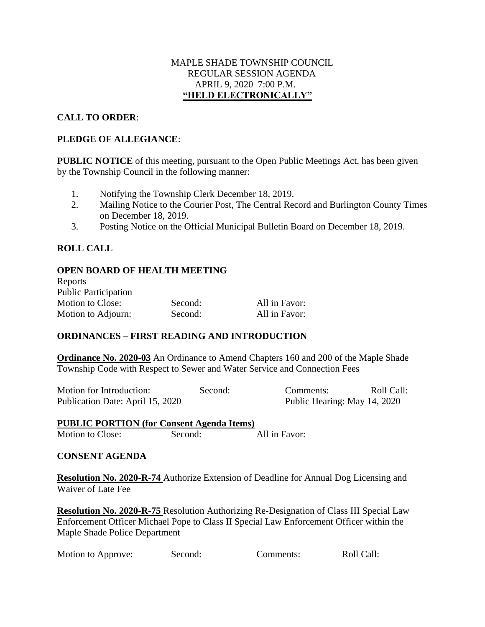#### MAPLE SHADE TOWNSHIP COUNCIL REGULAR SESSION AGENDA APRIL 9, 2020–7:00 P.M. **"HELD ELECTRONICALLY"**

### **CALL TO ORDER**:

#### **PLEDGE OF ALLEGIANCE**:

**PUBLIC NOTICE** of this meeting, pursuant to the Open Public Meetings Act, has been given by the Township Council in the following manner:

- 1. Notifying the Township Clerk December 18, 2019.
- 2. Mailing Notice to the Courier Post, The Central Record and Burlington County Times on December 18, 2019.
- 3. Posting Notice on the Official Municipal Bulletin Board on December 18, 2019.

## **ROLL CALL**

#### **OPEN BOARD OF HEALTH MEETING**

| Reports                     |         |               |
|-----------------------------|---------|---------------|
| <b>Public Participation</b> |         |               |
| <b>Motion to Close:</b>     | Second: | All in Favor: |
| Motion to Adjourn:          | Second: | All in Favor: |

#### **ORDINANCES – FIRST READING AND INTRODUCTION**

**Ordinance No. 2020-03** An Ordinance to Amend Chapters 160 and 200 of the Maple Shade Township Code with Respect to Sewer and Water Service and Connection Fees

| Motion for Introduction:         | Second: | Comments:                    | Roll Call: |
|----------------------------------|---------|------------------------------|------------|
| Publication Date: April 15, 2020 |         | Public Hearing: May 14, 2020 |            |

#### **PUBLIC PORTION (for Consent Agenda Items)** Motion to Close: Second: All in Favor:

#### **CONSENT AGENDA**

**Resolution No. 2020-R-74** Authorize Extension of Deadline for Annual Dog Licensing and Waiver of Late Fee

**Resolution No. 2020-R-75** Resolution Authorizing Re-Designation of Class III Special Law Enforcement Officer Michael Pope to Class II Special Law Enforcement Officer within the Maple Shade Police Department

| Motion to Approve: | Second: | Comments: | Roll Call: |
|--------------------|---------|-----------|------------|
|--------------------|---------|-----------|------------|